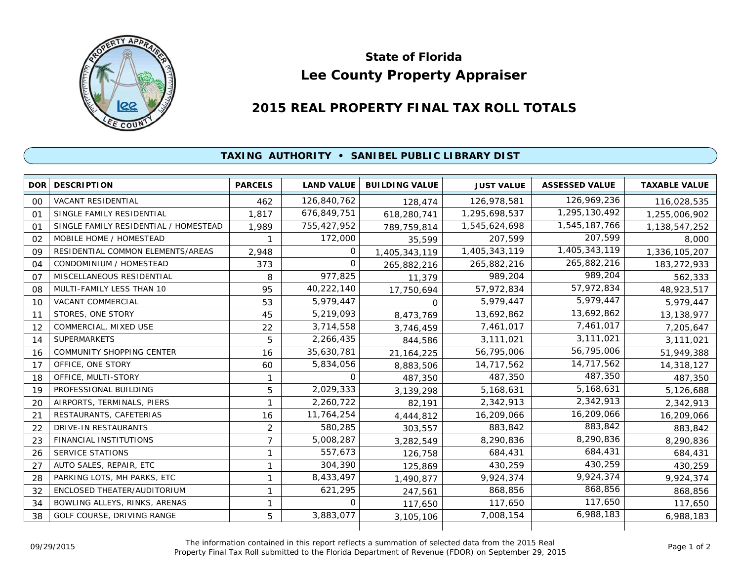

## **Lee County Property Appraiser State of Florida**

## **2015 REAL PROPERTY FINAL TAX ROLL TOTALS**

## **TAXING AUTHORITY • SANIBEL PUBLIC LIBRARY DIST**

| <b>DOR</b>     | <b>DESCRIPTION</b>                    | <b>PARCELS</b> | <b>LAND VALUE</b> | <b>BUILDING VALUE</b> | <b>JUST VALUE</b> | <b>ASSESSED VALUE</b> | <b>TAXABLE VALUE</b> |
|----------------|---------------------------------------|----------------|-------------------|-----------------------|-------------------|-----------------------|----------------------|
| 00             | <b>VACANT RESIDENTIAL</b>             | 462            | 126,840,762       | 128,474               | 126,978,581       | 126,969,236           | 116,028,535          |
| 01             | SINGLE FAMILY RESIDENTIAL             | 1,817          | 676,849,751       | 618,280,741           | 1,295,698,537     | 1,295,130,492         | 1,255,006,902        |
| O <sub>1</sub> | SINGLE FAMILY RESIDENTIAL / HOMESTEAD | 1,989          | 755,427,952       | 789,759,814           | 1,545,624,698     | 1,545,187,766         | 1,138,547,252        |
| 02             | MOBILE HOME / HOMESTEAD               |                | 172,000           | 35,599                | 207,599           | 207,599               | 8,000                |
| 09             | RESIDENTIAL COMMON ELEMENTS/AREAS     | 2,948          | 0                 | 1,405,343,119         | 1,405,343,119     | 1,405,343,119         | 1,336,105,207        |
| 04             | CONDOMINIUM / HOMESTEAD               | 373            | $\Omega$          | 265,882,216           | 265,882,216       | 265,882,216           | 183,272,933          |
| 07             | MISCELLANEOUS RESIDENTIAL             | 8              | 977,825           | 11,379                | 989,204           | 989,204               | 562,333              |
| 08             | MULTI-FAMILY LESS THAN 10             | 95             | 40,222,140        | 17,750,694            | 57,972,834        | 57,972,834            | 48,923,517           |
| 10             | <b>VACANT COMMERCIAL</b>              | 53             | 5,979,447         | 0                     | 5,979,447         | 5,979,447             | 5,979,447            |
| 11             | STORES, ONE STORY                     | 45             | 5,219,093         | 8,473,769             | 13,692,862        | 13,692,862            | 13,138,977           |
| 12             | COMMERCIAL, MIXED USE                 | 22             | 3,714,558         | 3,746,459             | 7,461,017         | 7,461,017             | 7,205,647            |
| 14             | <b>SUPERMARKETS</b>                   | 5              | 2,266,435         | 844,586               | 3,111,021         | 3,111,021             | 3,111,021            |
| 16             | <b>COMMUNITY SHOPPING CENTER</b>      | 16             | 35,630,781        | 21, 164, 225          | 56,795,006        | 56,795,006            | 51,949,388           |
| 17             | OFFICE, ONE STORY                     | 60             | 5,834,056         | 8,883,506             | 14,717,562        | 14,717,562            | 14,318,127           |
| 18             | OFFICE, MULTI-STORY                   | 1              | 0                 | 487,350               | 487,350           | 487,350               | 487,350              |
| 19             | PROFESSIONAL BUILDING                 | 5              | 2,029,333         | 3,139,298             | 5,168,631         | 5,168,631             | 5,126,688            |
| 20             | AIRPORTS, TERMINALS, PIERS            | 1              | 2,260,722         | 82,191                | 2,342,913         | 2,342,913             | 2,342,913            |
| 21             | RESTAURANTS, CAFETERIAS               | 16             | 11,764,254        | 4,444,812             | 16,209,066        | 16,209,066            | 16,209,066           |
| 22             | DRIVE-IN RESTAURANTS                  | 2              | 580,285           | 303,557               | 883,842           | 883,842               | 883,842              |
| 23             | FINANCIAL INSTITUTIONS                | 7              | 5,008,287         | 3,282,549             | 8,290,836         | 8,290,836             | 8,290,836            |
| 26             | <b>SERVICE STATIONS</b>               | 1              | 557,673           | 126,758               | 684,431           | 684,431               | 684,431              |
| 27             | AUTO SALES, REPAIR, ETC               | 1              | 304,390           | 125,869               | 430,259           | 430,259               | 430,259              |
| 28             | PARKING LOTS, MH PARKS, ETC           | 1              | 8,433,497         | 1,490,877             | 9,924,374         | 9,924,374             | 9,924,374            |
| 32             | ENCLOSED THEATER/AUDITORIUM           | 1              | 621,295           | 247,561               | 868,856           | 868,856               | 868,856              |
| 34             | BOWLING ALLEYS, RINKS, ARENAS         | 1              | 0                 | 117,650               | 117,650           | 117,650               | 117,650              |
| 38             | GOLF COURSE, DRIVING RANGE            | 5              | 3,883,077         | 3,105,106             | 7,008,154         | 6,988,183             | 6,988,183            |
|                |                                       |                |                   |                       |                   |                       |                      |

The information contained in this report reflects a summation of selected data from the 2015 Real Ine information contained in this report reflects a summation of selected data from the 2015 Real<br>Property Final Tax Roll submitted to the Florida Department of Revenue (FDOR) on September 29, 2015